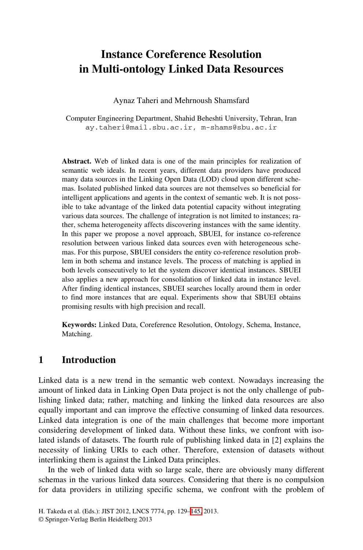## **Instance Coreference Resolution in Multi-ontology Linked Data Resources**

Aynaz Taheri and Mehrnoush Shamsfard

Computer Engineering Department, Shahid Beheshti University, Tehran, Iran ay.taheri@mail.sbu.ac.ir, m-shams@sbu.ac.ir

**Abstract.** Web of linked data is one of the main principles for realization of semantic web ideals. In recent years, different data providers have produced many data sources in the Linking Open Data (LOD) cloud upon different schemas. Isolated published linked data sources are not themselves so beneficial for intelligent applications and agents in the context of semantic web. It is not possible to take advantage of the linked data potential capacity without integrating various data sources. The challenge of integration is not limited to instances; rather, schema heterogeneity affects discovering instances with the same identity. In this paper we propose a novel approach, SBUEI, for instance co-reference resolution between various linked data sources even with heterogeneous schemas. For this purpose, SBUEI considers the entity co-reference resolution problem in both schema and instance levels. The process of matching is applied in both levels consecutively to let the system discover identical instances. SBUEI also applies a new approach for consolidation of linked data in instance level. After finding identical instances, SBUEI searches locally around them in order to find more instances that are equal. Experiments show that SBUEI obtains promising results with high precision and recall.

**Keywords:** Linked Data, Coreference Resolution, Ontology, Schema, Instance, Matching.

## **1 Introduction**

Linked data is a new trend in the semantic web context. Nowadays increasing the amount of linked data in Linking Open Data project is not the only challenge of publishing linked data; rather, matching and linking the linked data resources are also equally important and can improve the effective consuming of linked data resources. Linked data integration is one of the main challenges that become more important considering development [of l](#page--1-0)inked data. Without these links, we confront with isolated islands of datasets. The fourth rule of publishing linked data in [2] explains the necessity of linking URIs to each other. Therefore, extension of datasets without interlinking them is against the Linked Data principles.

In the web of linked data with so large scale, there are obviously many different schemas in the various linked data sources. Considering that there is no compulsion for data providers in utilizing specific schema, we confront with the problem of

H. Takeda et al. (Eds.): JIST 2012, LNCS 7774, pp. 129–145, 2013.

<sup>©</sup> Springer-Verlag Berlin Heidelberg 2013